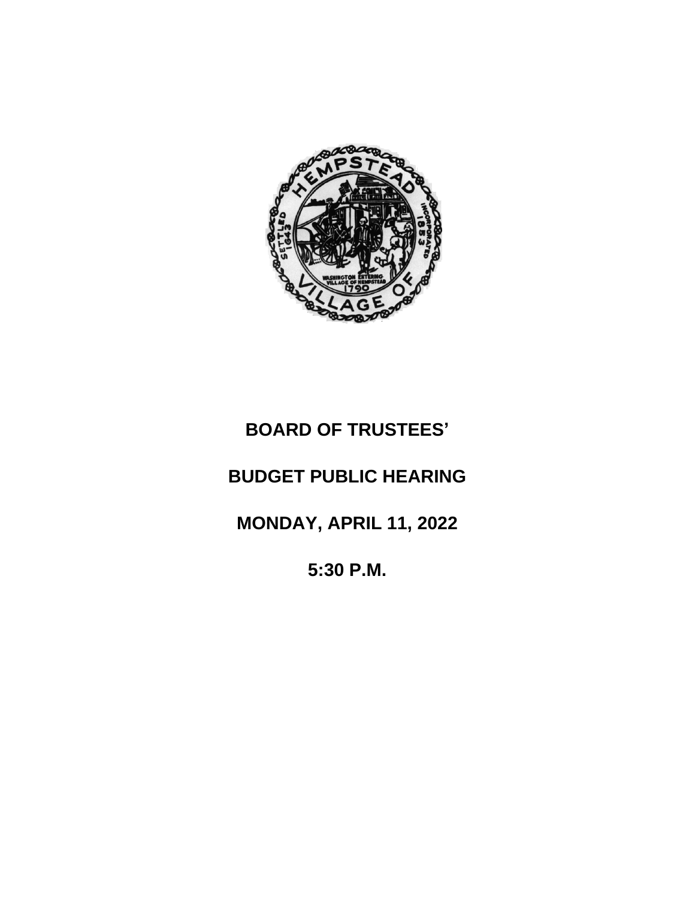

# **BOARD OF TRUSTEES'**

## **BUDGET PUBLIC HEARING**

**MONDAY, APRIL 11, 2022**

**5:30 P.M.**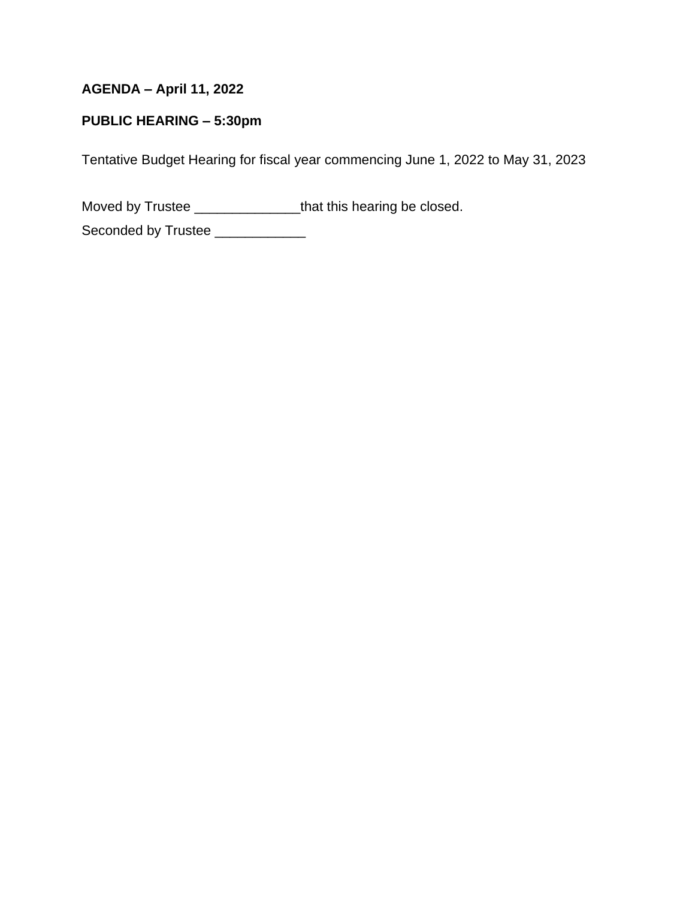### **AGENDA – April 11, 2022**

#### **PUBLIC HEARING – 5:30pm**

Tentative Budget Hearing for fiscal year commencing June 1, 2022 to May 31, 2023

Moved by Trustee \_\_\_\_\_\_\_\_\_\_\_\_\_\_\_\_\_\_that this hearing be closed.

Seconded by Trustee \_\_\_\_\_\_\_\_\_\_\_\_\_